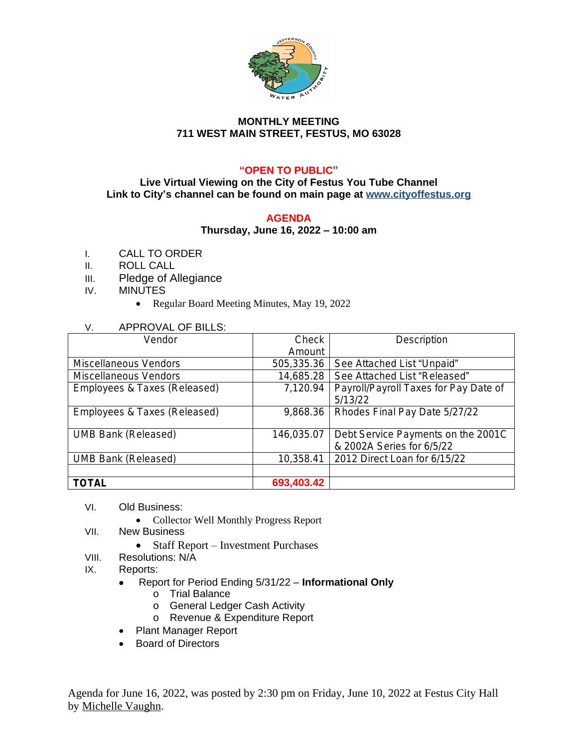

## **MONTHLY MEETING 711 WEST MAIN STREET, FESTUS, MO 63028**

# **"OPEN TO PUBLIC"**

#### **Live Virtual Viewing on the City of Festus You Tube Channel Link to City's channel can be found on main page at www.cityoffestus.org**

### **AGENDA**

### **Thursday, June 16, 2022 – 10:00 am**

- I. CALL TO ORDER
- II. ROLL CALL
- III. Pledge of Allegiance
- IV. MINUTES
	- Regular Board Meeting Minutes, May 19, 2022

## V. APPROVAL OF BILLS:

| Vendor                       | Check      | Description                           |
|------------------------------|------------|---------------------------------------|
|                              | Amount     |                                       |
| Miscellaneous Vendors        | 505,335.36 | See Attached List "Unpaid"            |
| Miscellaneous Vendors        | 14,685.28  | See Attached List "Released"          |
| Employees & Taxes (Released) | 7,120.94   | Payroll/Payroll Taxes for Pay Date of |
|                              |            | 5/13/22                               |
| Employees & Taxes (Released) | 9,868.36   | Rhodes Final Pay Date 5/27/22         |
|                              |            |                                       |
| <b>UMB Bank (Released)</b>   | 146,035.07 | Debt Service Payments on the 2001C    |
|                              |            | & 2002A Series for 6/5/22             |
| <b>UMB Bank (Released)</b>   | 10,358.41  | 2012 Direct Loan for 6/15/22          |
|                              |            |                                       |
| <b>TOTAL</b>                 | 693,403.42 |                                       |

- VI. Old Business:
	- Collector Well Monthly Progress Report
- VII. New Business
	- Staff Report Investment Purchases
- VIII. Resolutions: N/A
- IX. Reports:
	- Report for Period Ending 5/31/22 **Informational Only**
		- o Trial Balance
		- o General Ledger Cash Activity
		- o Revenue & Expenditure Report
	- Plant Manager Report
	- Board of Directors

Agenda for June 16, 2022, was posted by 2:30 pm on Friday, June 10, 2022 at Festus City Hall by Michelle Vaughn.